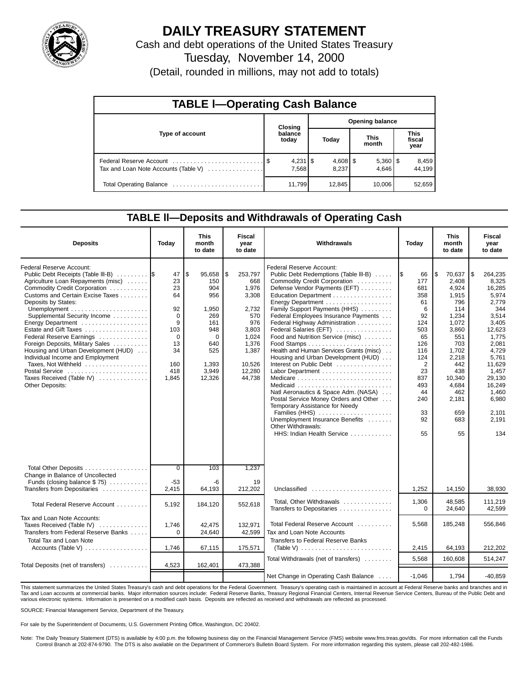

# **DAILY TREASURY STATEMENT**

Cash and debt operations of the United States Treasury Tuesday, November 14, 2000

(Detail, rounded in millions, may not add to totals)

| <b>TABLE I-Operating Cash Balance</b> |  |                             |                        |                     |  |                       |                               |                 |  |  |  |
|---------------------------------------|--|-----------------------------|------------------------|---------------------|--|-----------------------|-------------------------------|-----------------|--|--|--|
|                                       |  | Closing                     | <b>Opening balance</b> |                     |  |                       |                               |                 |  |  |  |
| Type of account                       |  | balance<br>today            |                        | Today               |  | <b>This</b><br>month  | <b>This</b><br>fiscal<br>year |                 |  |  |  |
| Tax and Loan Note Accounts (Table V)  |  | $4,231$ $\sqrt{5}$<br>7.568 |                        | $4,608$ \$<br>8.237 |  | $5,360$   \$<br>4.646 |                               | 8,459<br>44,199 |  |  |  |
|                                       |  | 11.799                      |                        | 12,845              |  | 10.006                |                               | 52,659          |  |  |  |

### **TABLE ll—Deposits and Withdrawals of Operating Cash**

| <b>Deposits</b>                                                                                                                                                                                                                                                                                                                                                                                                                                                                                                   | Today                                                                                             | <b>This</b><br>month<br>to date                                                                                       | Fiscal<br>year<br>to date                                                                                                       | Withdrawals                                                                                                                                                                                                                                                                                                                                                                                                                                                                                                                                                                                                                                                                   | Today                                                                                                                                     | <b>This</b><br>month<br>to date                                                                                                                                                        | <b>Fiscal</b><br>year<br>to date                                                                                                                                                                             |
|-------------------------------------------------------------------------------------------------------------------------------------------------------------------------------------------------------------------------------------------------------------------------------------------------------------------------------------------------------------------------------------------------------------------------------------------------------------------------------------------------------------------|---------------------------------------------------------------------------------------------------|-----------------------------------------------------------------------------------------------------------------------|---------------------------------------------------------------------------------------------------------------------------------|-------------------------------------------------------------------------------------------------------------------------------------------------------------------------------------------------------------------------------------------------------------------------------------------------------------------------------------------------------------------------------------------------------------------------------------------------------------------------------------------------------------------------------------------------------------------------------------------------------------------------------------------------------------------------------|-------------------------------------------------------------------------------------------------------------------------------------------|----------------------------------------------------------------------------------------------------------------------------------------------------------------------------------------|--------------------------------------------------------------------------------------------------------------------------------------------------------------------------------------------------------------|
| Federal Reserve Account:<br>Public Debt Receipts (Table III-B)<br>Agriculture Loan Repayments (misc)<br>Commodity Credit Corporation<br>Customs and Certain Excise Taxes<br>Deposits by States:<br>Supplemental Security Income<br>Energy Department<br>Estate and Gift Taxes<br>Federal Reserve Earnings<br>Foreign Deposits, Military Sales<br>Housing and Urban Development (HUD)<br>Individual Income and Employment<br>Taxes, Not Withheld<br>Postal Service<br>Taxes Received (Table IV)<br>Other Deposits: | 47<br>23<br>23<br>64<br>92<br>$\Omega$<br>9<br>103<br>$\Omega$<br>13<br>34<br>160<br>418<br>1,845 | S.<br>95,658<br>150<br>904<br>956<br>1,950<br>269<br>161<br>948<br>$\Omega$<br>640<br>525<br>1,393<br>3,949<br>12,326 | \$<br>253,797<br>668<br>1,976<br>3,308<br>2,732<br>570<br>976<br>3,803<br>1.024<br>1,376<br>1,387<br>10,526<br>12,280<br>44,738 | Federal Reserve Account:<br>Public Debt Redemptions (Table III-B)<br>Commodity Credit Corporation<br>Defense Vendor Payments (EFT)<br>Education Department<br>Family Support Payments (HHS)<br>Federal Employees Insurance Payments<br>Federal Highway Administration<br>Federal Salaries (EFT)<br>Food and Nutrition Service (misc)<br>Health and Human Services Grants (misc)<br>Housing and Urban Development (HUD)<br>Interest on Public Debt<br>Natl Aeronautics & Space Adm. (NASA)<br>Postal Service Money Orders and Other<br>Temporary Assistance for Needy<br>Families (HHS)<br>Unemployment Insurance Benefits<br>Other Withdrawals:<br>HHS: Indian Health Service | 66<br>177<br>681<br>358<br>61<br>6<br>92<br>124<br>503<br>65<br>126<br>116<br>124<br>2<br>23<br>837<br>493<br>44<br>240<br>33<br>92<br>55 | ۱\$<br>70,637<br>2.408<br>4,924<br>1,915<br>796<br>114<br>1,234<br>1,072<br>3.860<br>551<br>703<br>1,702<br>2,218<br>442<br>438<br>10,340<br>4,684<br>462<br>2,181<br>659<br>683<br>55 | 1\$<br>264,235<br>8,325<br>16,285<br>5,974<br>2,779<br>344<br>3,514<br>3,405<br>12,623<br>1.775<br>2.081<br>4.729<br>5.761<br>11,629<br>1,457<br>29,130<br>16,249<br>1,460<br>6,980<br>2,101<br>2,191<br>134 |
| Total Other Deposits<br>Change in Balance of Uncollected<br>Funds (closing balance $$75$ )                                                                                                                                                                                                                                                                                                                                                                                                                        | $\overline{0}$<br>$-53$                                                                           | 103<br>-6                                                                                                             | 1,237<br>19                                                                                                                     |                                                                                                                                                                                                                                                                                                                                                                                                                                                                                                                                                                                                                                                                               |                                                                                                                                           |                                                                                                                                                                                        |                                                                                                                                                                                                              |
| Transfers from Depositaries                                                                                                                                                                                                                                                                                                                                                                                                                                                                                       | 2,415                                                                                             | 64,193                                                                                                                | 212,202                                                                                                                         | Unclassified $\ldots \ldots \ldots \ldots \ldots \ldots$                                                                                                                                                                                                                                                                                                                                                                                                                                                                                                                                                                                                                      | 1,252                                                                                                                                     | 14,150                                                                                                                                                                                 | 38,930                                                                                                                                                                                                       |
| Total Federal Reserve Account                                                                                                                                                                                                                                                                                                                                                                                                                                                                                     | 5,192                                                                                             | 184,120                                                                                                               | 552,618                                                                                                                         | Total, Other Withdrawals<br>Transfers to Depositaries                                                                                                                                                                                                                                                                                                                                                                                                                                                                                                                                                                                                                         | 1,306<br>$\Omega$                                                                                                                         | 48,585<br>24,640                                                                                                                                                                       | 111,219<br>42,599                                                                                                                                                                                            |
| Tax and Loan Note Accounts:<br>Taxes Received (Table IV)<br>Transfers from Federal Reserve Banks                                                                                                                                                                                                                                                                                                                                                                                                                  | 1,746<br>$\Omega$                                                                                 | 42,475<br>24,640                                                                                                      | 132,971<br>42,599                                                                                                               | Total Federal Reserve Account<br>Tax and Loan Note Accounts                                                                                                                                                                                                                                                                                                                                                                                                                                                                                                                                                                                                                   | 5,568                                                                                                                                     | 185,248                                                                                                                                                                                | 556,846                                                                                                                                                                                                      |
| <b>Total Tax and Loan Note</b>                                                                                                                                                                                                                                                                                                                                                                                                                                                                                    | 1,746                                                                                             | 67,115                                                                                                                | 175,571                                                                                                                         | Transfers to Federal Reserve Banks<br>(Table V) $\ldots \ldots \ldots \ldots \ldots \ldots \ldots \ldots$                                                                                                                                                                                                                                                                                                                                                                                                                                                                                                                                                                     | 2,415                                                                                                                                     | 64,193                                                                                                                                                                                 | 212,202                                                                                                                                                                                                      |
|                                                                                                                                                                                                                                                                                                                                                                                                                                                                                                                   |                                                                                                   |                                                                                                                       |                                                                                                                                 | Total Withdrawals (net of transfers)                                                                                                                                                                                                                                                                                                                                                                                                                                                                                                                                                                                                                                          | 5.568                                                                                                                                     | 160.608                                                                                                                                                                                | 514,247                                                                                                                                                                                                      |
| Total Deposits (net of transfers)                                                                                                                                                                                                                                                                                                                                                                                                                                                                                 | 4,523                                                                                             | 162,401                                                                                                               | 473,388                                                                                                                         | Net Change in Operating Cash Balance                                                                                                                                                                                                                                                                                                                                                                                                                                                                                                                                                                                                                                          | $-1,046$                                                                                                                                  | 1,794                                                                                                                                                                                  | $-40,859$                                                                                                                                                                                                    |

This statement summarizes the United States Treasury's cash and debt operations for the Federal Government. Treasury's operating cash is maintained in account at Federal Reserve banks and branches and in Tax and Loan accounts at commercial banks. Major information sources include: Federal Reserve Banks, Treasury Regional Financial Centers, Internal Revenue Service Centers, Bureau of the Public Debt and various electronic systems. Information is presented on a modified cash basis. Deposits are reflected as received and withdrawals are reflected as processed.

SOURCE: Financial Management Service, Department of the Treasury.

For sale by the Superintendent of Documents, U.S. Government Printing Office, Washington, DC 20402.

Note: The Daily Treasury Statement (DTS) is available by 4:00 p.m. the following business day on the Financial Management Service (FMS) website www.fms.treas.gov/dts. For more information call the Funds<br>Control Branch at 2